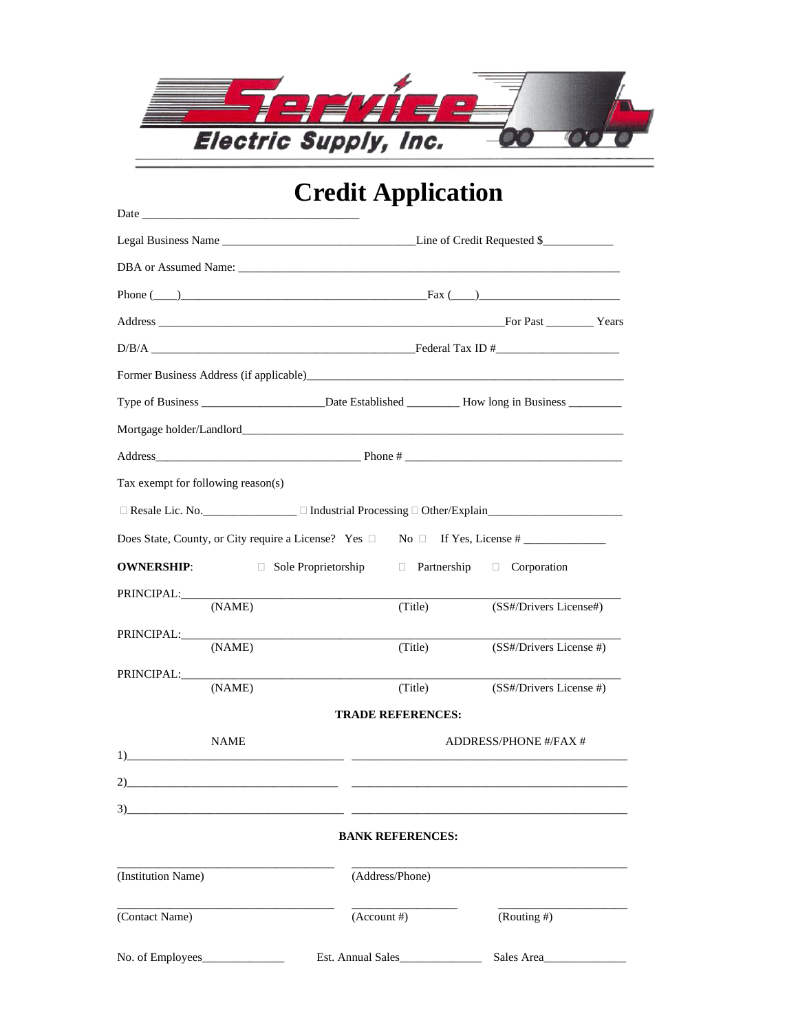

## **Credit Application**

| Date                                                                                                                                                                                                                                 |                                                                                       |                          |                              |  |  |
|--------------------------------------------------------------------------------------------------------------------------------------------------------------------------------------------------------------------------------------|---------------------------------------------------------------------------------------|--------------------------|------------------------------|--|--|
|                                                                                                                                                                                                                                      | Line of Credit Requested \$                                                           |                          |                              |  |  |
|                                                                                                                                                                                                                                      | DBA or Assumed Name:                                                                  |                          |                              |  |  |
|                                                                                                                                                                                                                                      | Phone $(\_\_)$                                                                        |                          |                              |  |  |
|                                                                                                                                                                                                                                      |                                                                                       |                          |                              |  |  |
|                                                                                                                                                                                                                                      |                                                                                       |                          |                              |  |  |
|                                                                                                                                                                                                                                      | Former Business Address (if applicable)<br><u>Example 2001</u>                        |                          |                              |  |  |
|                                                                                                                                                                                                                                      |                                                                                       |                          |                              |  |  |
|                                                                                                                                                                                                                                      |                                                                                       |                          |                              |  |  |
|                                                                                                                                                                                                                                      |                                                                                       |                          |                              |  |  |
| Tax exempt for following reason(s)                                                                                                                                                                                                   |                                                                                       |                          |                              |  |  |
|                                                                                                                                                                                                                                      |                                                                                       |                          |                              |  |  |
|                                                                                                                                                                                                                                      | Does State, County, or City require a License? Yes $\Box$ No $\Box$ If Yes, License # |                          |                              |  |  |
| <b>OWNERSHIP:</b>                                                                                                                                                                                                                    | $\Box$ Sole Proprietorship $\Box$ Partnership $\Box$ Corporation                      |                          |                              |  |  |
| PRINCIPAL:<br>(NAME)                                                                                                                                                                                                                 |                                                                                       | (Title)                  | (SS#/Drivers License#)       |  |  |
| PRINCIPAL: PRINCIPAL:                                                                                                                                                                                                                |                                                                                       |                          |                              |  |  |
|                                                                                                                                                                                                                                      | (NAME)                                                                                | (Title)                  | (SS#/Drivers License #)      |  |  |
| PRINCIPAL:                                                                                                                                                                                                                           | (NAME)                                                                                | (Title)                  | (SS#/Drivers License #)      |  |  |
|                                                                                                                                                                                                                                      |                                                                                       | <b>TRADE REFERENCES:</b> |                              |  |  |
| NAME<br>$1)$ and $2$ and $2$ and $2$ and $2$ and $2$ and $2$ and $2$ and $2$ and $2$ and $2$ and $2$ and $2$ and $2$ and $2$ and $2$ and $2$ and $2$ and $2$ and $2$ and $2$ and $2$ and $2$ and $2$ and $2$ and $2$ and $2$ and $2$ |                                                                                       |                          | <b>ADDRESS/PHONE #/FAX #</b> |  |  |
|                                                                                                                                                                                                                                      |                                                                                       |                          |                              |  |  |
| 3)                                                                                                                                                                                                                                   |                                                                                       |                          |                              |  |  |
|                                                                                                                                                                                                                                      |                                                                                       | <b>BANK REFERENCES:</b>  |                              |  |  |
| (Institution Name)                                                                                                                                                                                                                   |                                                                                       | (Address/Phone)          |                              |  |  |
| (Contact Name)                                                                                                                                                                                                                       | $(Account \#)$                                                                        |                          | (Routing #)                  |  |  |
| No. of Employees_                                                                                                                                                                                                                    |                                                                                       | Est. Annual Sales        | Sales Area                   |  |  |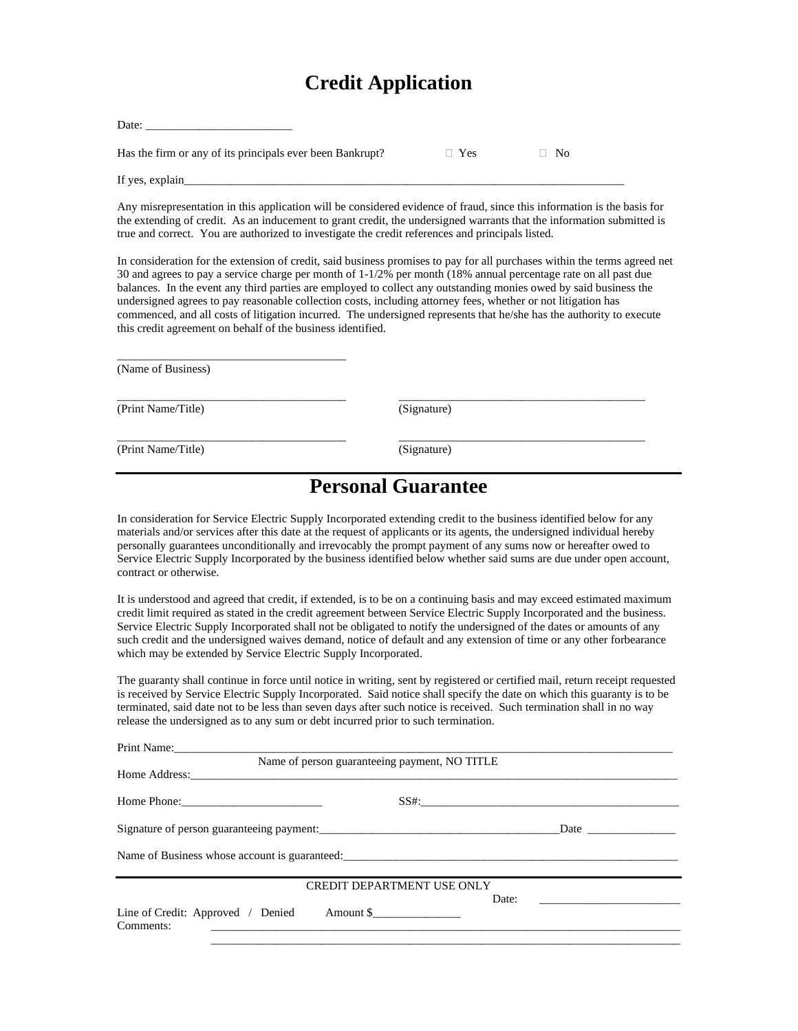## **Credit Application**

| Date:                                                     |            |     |  |
|-----------------------------------------------------------|------------|-----|--|
| Has the firm or any of its principals ever been Bankrupt? | $\Box$ Yes | No. |  |
| If yes, explain                                           |            |     |  |

Any misrepresentation in this application will be considered evidence of fraud, since this information is the basis for the extending of credit. As an inducement to grant credit, the undersigned warrants that the information submitted is true and correct. You are authorized to investigate the credit references and principals listed.

In consideration for the extension of credit, said business promises to pay for all purchases within the terms agreed net 30 and agrees to pay a service charge per month of 1-1/2% per month (18% annual percentage rate on all past due balances. In the event any third parties are employed to collect any outstanding monies owed by said business the undersigned agrees to pay reasonable collection costs, including attorney fees, whether or not litigation has commenced, and all costs of litigation incurred. The undersigned represents that he/she has the authority to execute this credit agreement on behalf of the business identified.

| (Name of Business) |             |  |
|--------------------|-------------|--|
| (Print Name/Title) | (Signature) |  |
| (Print Name/Title) | (Signature) |  |

## **Personal Guarantee**

In consideration for Service Electric Supply Incorporated extending credit to the business identified below for any materials and/or services after this date at the request of applicants or its agents, the undersigned individual hereby personally guarantees unconditionally and irrevocably the prompt payment of any sums now or hereafter owed to Service Electric Supply Incorporated by the business identified below whether said sums are due under open account, contract or otherwise.

It is understood and agreed that credit, if extended, is to be on a continuing basis and may exceed estimated maximum credit limit required as stated in the credit agreement between Service Electric Supply Incorporated and the business. Service Electric Supply Incorporated shall not be obligated to notify the undersigned of the dates or amounts of any such credit and the undersigned waives demand, notice of default and any extension of time or any other forbearance which may be extended by Service Electric Supply Incorporated.

The guaranty shall continue in force until notice in writing, sent by registered or certified mail, return receipt requested is received by Service Electric Supply Incorporated. Said notice shall specify the date on which this guaranty is to be terminated, said date not to be less than seven days after such notice is received. Such termination shall in no way release the undersigned as to any sum or debt incurred prior to such termination.

| Print Name:                                 |                                               |       |  |
|---------------------------------------------|-----------------------------------------------|-------|--|
|                                             | Name of person guaranteeing payment, NO TITLE |       |  |
|                                             |                                               |       |  |
|                                             |                                               |       |  |
|                                             |                                               |       |  |
|                                             |                                               |       |  |
|                                             | <b>CREDIT DEPARTMENT USE ONLY</b>             |       |  |
| Line of Credit: Approved / Denied Amount \$ |                                               | Date: |  |
| Comments:                                   |                                               |       |  |

\_\_\_\_\_\_\_\_\_\_\_\_\_\_\_\_\_\_\_\_\_\_\_\_\_\_\_\_\_\_\_\_\_\_\_\_\_\_\_\_\_\_\_\_\_\_\_\_\_\_\_\_\_\_\_\_\_\_\_\_\_\_\_\_\_\_\_\_\_\_\_\_\_\_\_\_\_\_\_\_